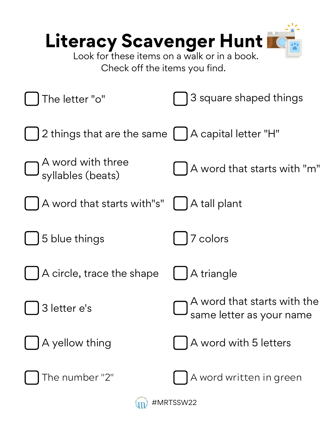| Literacy Scavenger Hunt<br>Look for these items on a walk or in a book.<br>Check off the items you find. |                                                         |
|----------------------------------------------------------------------------------------------------------|---------------------------------------------------------|
| The letter "o"                                                                                           | 3 square shaped things                                  |
| 2 things that are the same                                                                               | A capital letter "H"                                    |
| $\bigcup$ A word with three<br>$\bigcup$ syllables (beats)                                               | A word that starts with "m"                             |
| A word that starts with"s"                                                                               | A tall plant                                            |
| 5 blue things                                                                                            | colors                                                  |
| A circle, trace the shape                                                                                | A triangle                                              |
| 3 letter e's                                                                                             | A word that starts with the<br>same letter as your name |
| A yellow thing                                                                                           | A word with 5 letters                                   |
| The number "2"                                                                                           | A word written in green                                 |
| #MRTSSW22                                                                                                |                                                         |